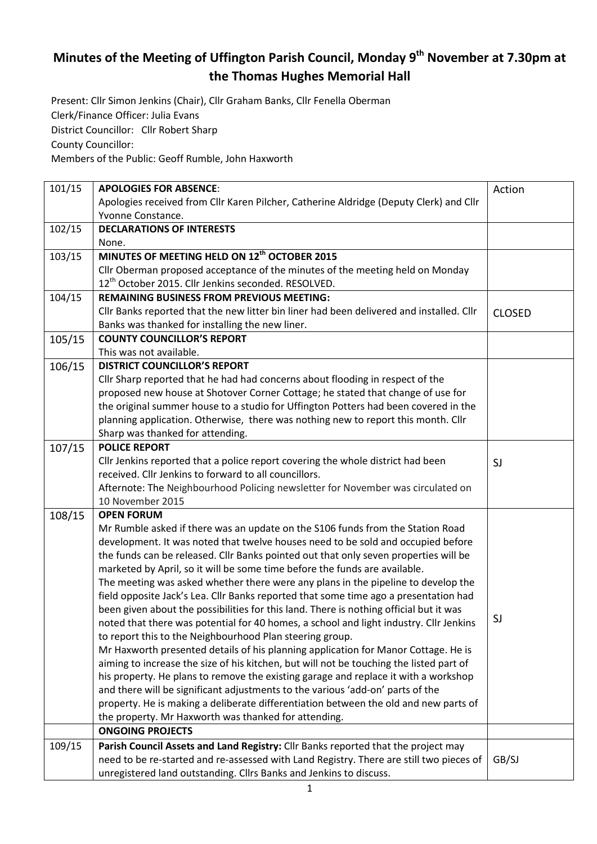## **Minutes of the Meeting of Uffington Parish Council, Monday 9 th November at 7.30pm at the Thomas Hughes Memorial Hall**

Present: Cllr Simon Jenkins (Chair), Cllr Graham Banks, Cllr Fenella Oberman Clerk/Finance Officer: Julia Evans District Councillor: Cllr Robert Sharp County Councillor:

Members of the Public: Geoff Rumble, John Haxworth

| 101/15 | <b>APOLOGIES FOR ABSENCE:</b>                                                                                                                | Action        |
|--------|----------------------------------------------------------------------------------------------------------------------------------------------|---------------|
|        | Apologies received from Cllr Karen Pilcher, Catherine Aldridge (Deputy Clerk) and Cllr                                                       |               |
|        | Yvonne Constance.                                                                                                                            |               |
| 102/15 | <b>DECLARATIONS OF INTERESTS</b>                                                                                                             |               |
|        | None.                                                                                                                                        |               |
| 103/15 | MINUTES OF MEETING HELD ON 12 <sup>th</sup> OCTOBER 2015                                                                                     |               |
|        | Cllr Oberman proposed acceptance of the minutes of the meeting held on Monday                                                                |               |
|        | 12 <sup>th</sup> October 2015. Cllr Jenkins seconded. RESOLVED.                                                                              |               |
| 104/15 | <b>REMAINING BUSINESS FROM PREVIOUS MEETING:</b>                                                                                             |               |
|        | Cllr Banks reported that the new litter bin liner had been delivered and installed. Cllr                                                     | <b>CLOSED</b> |
|        | Banks was thanked for installing the new liner.                                                                                              |               |
| 105/15 | <b>COUNTY COUNCILLOR'S REPORT</b>                                                                                                            |               |
|        | This was not available.                                                                                                                      |               |
| 106/15 | <b>DISTRICT COUNCILLOR'S REPORT</b>                                                                                                          |               |
|        | Cllr Sharp reported that he had had concerns about flooding in respect of the                                                                |               |
|        | proposed new house at Shotover Corner Cottage; he stated that change of use for                                                              |               |
|        | the original summer house to a studio for Uffington Potters had been covered in the                                                          |               |
|        | planning application. Otherwise, there was nothing new to report this month. Cllr                                                            |               |
|        | Sharp was thanked for attending.                                                                                                             |               |
| 107/15 | <b>POLICE REPORT</b>                                                                                                                         |               |
|        | Cllr Jenkins reported that a police report covering the whole district had been                                                              | SJ            |
|        | received. Cllr Jenkins to forward to all councillors.                                                                                        |               |
|        | Afternote: The Neighbourhood Policing newsletter for November was circulated on                                                              |               |
|        | 10 November 2015                                                                                                                             |               |
| 108/15 | <b>OPEN FORUM</b>                                                                                                                            |               |
|        | Mr Rumble asked if there was an update on the S106 funds from the Station Road                                                               |               |
|        | development. It was noted that twelve houses need to be sold and occupied before                                                             |               |
|        | the funds can be released. Cllr Banks pointed out that only seven properties will be                                                         |               |
|        | marketed by April, so it will be some time before the funds are available.                                                                   |               |
|        | The meeting was asked whether there were any plans in the pipeline to develop the                                                            |               |
|        | field opposite Jack's Lea. Cllr Banks reported that some time ago a presentation had                                                         |               |
|        | been given about the possibilities for this land. There is nothing official but it was                                                       | SJ            |
|        | noted that there was potential for 40 homes, a school and light industry. Cllr Jenkins                                                       |               |
|        | to report this to the Neighbourhood Plan steering group.                                                                                     |               |
|        | Mr Haxworth presented details of his planning application for Manor Cottage. He is                                                           |               |
|        | aiming to increase the size of his kitchen, but will not be touching the listed part of                                                      |               |
|        | his property. He plans to remove the existing garage and replace it with a workshop                                                          |               |
|        | and there will be significant adjustments to the various 'add-on' parts of the                                                               |               |
|        | property. He is making a deliberate differentiation between the old and new parts of<br>the property. Mr Haxworth was thanked for attending. |               |
|        | <b>ONGOING PROJECTS</b>                                                                                                                      |               |
|        |                                                                                                                                              |               |
| 109/15 | Parish Council Assets and Land Registry: Cllr Banks reported that the project may                                                            |               |
|        | need to be re-started and re-assessed with Land Registry. There are still two pieces of                                                      | GB/SJ         |
|        | unregistered land outstanding. Cllrs Banks and Jenkins to discuss.                                                                           |               |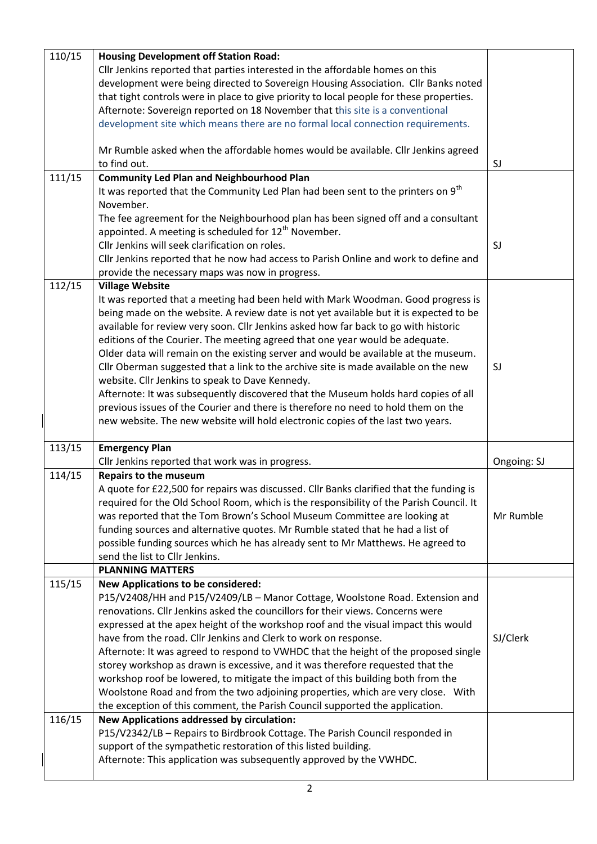| 110/15 | <b>Housing Development off Station Road:</b>                                                 |             |
|--------|----------------------------------------------------------------------------------------------|-------------|
|        | Cllr Jenkins reported that parties interested in the affordable homes on this                |             |
|        | development were being directed to Sovereign Housing Association. Cllr Banks noted           |             |
|        | that tight controls were in place to give priority to local people for these properties.     |             |
|        | Afternote: Sovereign reported on 18 November that this site is a conventional                |             |
|        | development site which means there are no formal local connection requirements.              |             |
|        | Mr Rumble asked when the affordable homes would be available. Cllr Jenkins agreed            |             |
|        | to find out.                                                                                 | SJ          |
| 111/15 | <b>Community Led Plan and Neighbourhood Plan</b>                                             |             |
|        | It was reported that the Community Led Plan had been sent to the printers on 9 <sup>th</sup> |             |
|        | November.                                                                                    |             |
|        | The fee agreement for the Neighbourhood plan has been signed off and a consultant            |             |
|        | appointed. A meeting is scheduled for 12 <sup>th</sup> November.                             |             |
|        | Cllr Jenkins will seek clarification on roles.                                               | SJ          |
|        | Cllr Jenkins reported that he now had access to Parish Online and work to define and         |             |
|        | provide the necessary maps was now in progress.                                              |             |
| 112/15 | <b>Village Website</b>                                                                       |             |
|        | It was reported that a meeting had been held with Mark Woodman. Good progress is             |             |
|        | being made on the website. A review date is not yet available but it is expected to be       |             |
|        | available for review very soon. Cllr Jenkins asked how far back to go with historic          |             |
|        | editions of the Courier. The meeting agreed that one year would be adequate.                 |             |
|        | Older data will remain on the existing server and would be available at the museum.          |             |
|        | Cllr Oberman suggested that a link to the archive site is made available on the new          | SJ          |
|        | website. Cllr Jenkins to speak to Dave Kennedy.                                              |             |
|        | Afternote: It was subsequently discovered that the Museum holds hard copies of all           |             |
|        | previous issues of the Courier and there is therefore no need to hold them on the            |             |
|        | new website. The new website will hold electronic copies of the last two years.              |             |
|        |                                                                                              |             |
| 113/15 | <b>Emergency Plan</b>                                                                        |             |
|        | Cllr Jenkins reported that work was in progress.                                             | Ongoing: SJ |
| 114/15 | <b>Repairs to the museum</b>                                                                 |             |
|        | A quote for £22,500 for repairs was discussed. Cllr Banks clarified that the funding is      |             |
|        | required for the Old School Room, which is the responsibility of the Parish Council. It      |             |
|        | was reported that the Tom Brown's School Museum Committee are looking at                     | Mr Rumble   |
|        | funding sources and alternative quotes. Mr Rumble stated that he had a list of               |             |
|        |                                                                                              |             |
|        | possible funding sources which he has already sent to Mr Matthews. He agreed to              |             |
|        | send the list to Cllr Jenkins.                                                               |             |
|        | <b>PLANNING MATTERS</b>                                                                      |             |
| 115/15 | <b>New Applications to be considered:</b>                                                    |             |
|        | P15/V2408/HH and P15/V2409/LB - Manor Cottage, Woolstone Road. Extension and                 |             |
|        | renovations. Cllr Jenkins asked the councillors for their views. Concerns were               |             |
|        | expressed at the apex height of the workshop roof and the visual impact this would           |             |
|        | have from the road. Cllr Jenkins and Clerk to work on response.                              | SJ/Clerk    |
|        | Afternote: It was agreed to respond to VWHDC that the height of the proposed single          |             |
|        | storey workshop as drawn is excessive, and it was therefore requested that the               |             |
|        |                                                                                              |             |
|        | workshop roof be lowered, to mitigate the impact of this building both from the              |             |
|        | Woolstone Road and from the two adjoining properties, which are very close. With             |             |
|        | the exception of this comment, the Parish Council supported the application.                 |             |
| 116/15 | <b>New Applications addressed by circulation:</b>                                            |             |
|        | P15/V2342/LB - Repairs to Birdbrook Cottage. The Parish Council responded in                 |             |
|        | support of the sympathetic restoration of this listed building.                              |             |
|        | Afternote: This application was subsequently approved by the VWHDC.                          |             |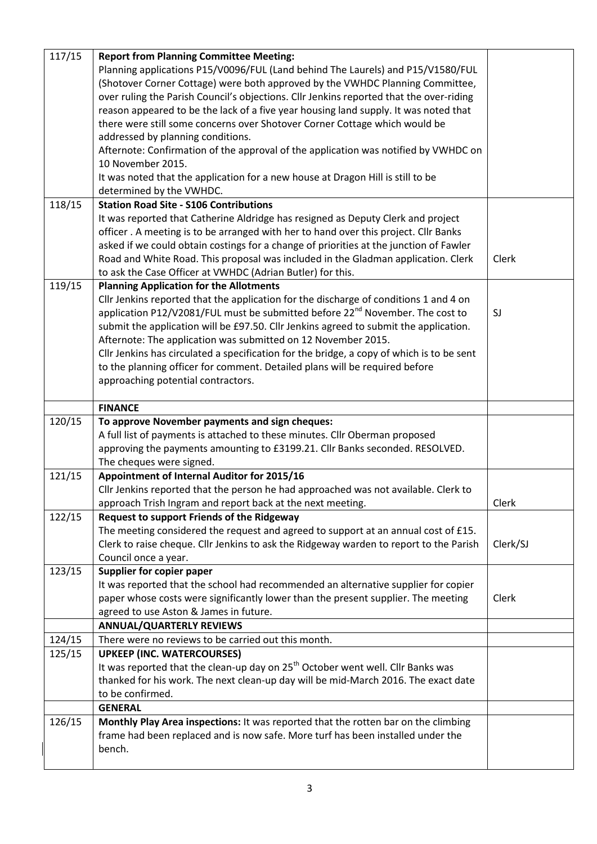| 117/15 | <b>Report from Planning Committee Meeting:</b>                                              |          |
|--------|---------------------------------------------------------------------------------------------|----------|
|        | Planning applications P15/V0096/FUL (Land behind The Laurels) and P15/V1580/FUL             |          |
|        | (Shotover Corner Cottage) were both approved by the VWHDC Planning Committee,               |          |
|        | over ruling the Parish Council's objections. Cllr Jenkins reported that the over-riding     |          |
|        | reason appeared to be the lack of a five year housing land supply. It was noted that        |          |
|        | there were still some concerns over Shotover Corner Cottage which would be                  |          |
|        |                                                                                             |          |
|        | addressed by planning conditions.                                                           |          |
|        | Afternote: Confirmation of the approval of the application was notified by VWHDC on         |          |
|        | 10 November 2015.                                                                           |          |
|        | It was noted that the application for a new house at Dragon Hill is still to be             |          |
|        | determined by the VWHDC.                                                                    |          |
| 118/15 | <b>Station Road Site - S106 Contributions</b>                                               |          |
|        | It was reported that Catherine Aldridge has resigned as Deputy Clerk and project            |          |
|        | officer. A meeting is to be arranged with her to hand over this project. Cllr Banks         |          |
|        | asked if we could obtain costings for a change of priorities at the junction of Fawler      |          |
|        | Road and White Road. This proposal was included in the Gladman application. Clerk           | Clerk    |
|        |                                                                                             |          |
|        | to ask the Case Officer at VWHDC (Adrian Butler) for this.                                  |          |
| 119/15 | <b>Planning Application for the Allotments</b>                                              |          |
|        | Cllr Jenkins reported that the application for the discharge of conditions 1 and 4 on       |          |
|        | application P12/V2081/FUL must be submitted before 22 <sup>nd</sup> November. The cost to   | SJ       |
|        | submit the application will be £97.50. Cllr Jenkins agreed to submit the application.       |          |
|        | Afternote: The application was submitted on 12 November 2015.                               |          |
|        | Cllr Jenkins has circulated a specification for the bridge, a copy of which is to be sent   |          |
|        | to the planning officer for comment. Detailed plans will be required before                 |          |
|        | approaching potential contractors.                                                          |          |
|        |                                                                                             |          |
|        | <b>FINANCE</b>                                                                              |          |
| 120/15 | To approve November payments and sign cheques:                                              |          |
|        | A full list of payments is attached to these minutes. Cllr Oberman proposed                 |          |
|        | approving the payments amounting to £3199.21. Cllr Banks seconded. RESOLVED.                |          |
|        | The cheques were signed.                                                                    |          |
| 121/15 | Appointment of Internal Auditor for 2015/16                                                 |          |
|        |                                                                                             |          |
|        | Cllr Jenkins reported that the person he had approached was not available. Clerk to         |          |
|        | approach Trish Ingram and report back at the next meeting.                                  | Clerk    |
| 122/15 | Request to support Friends of the Ridgeway                                                  |          |
|        | The meeting considered the request and agreed to support at an annual cost of £15.          |          |
|        | Clerk to raise cheque. Cllr Jenkins to ask the Ridgeway warden to report to the Parish      | Clerk/SJ |
|        | Council once a year.                                                                        |          |
| 123/15 | Supplier for copier paper                                                                   |          |
|        | It was reported that the school had recommended an alternative supplier for copier          |          |
|        | paper whose costs were significantly lower than the present supplier. The meeting           | Clerk    |
|        | agreed to use Aston & James in future.                                                      |          |
|        | <b>ANNUAL/QUARTERLY REVIEWS</b>                                                             |          |
| 124/15 | There were no reviews to be carried out this month.                                         |          |
| 125/15 | <b>UPKEEP (INC. WATERCOURSES)</b>                                                           |          |
|        | It was reported that the clean-up day on 25 <sup>th</sup> October went well. Cllr Banks was |          |
|        |                                                                                             |          |
|        | thanked for his work. The next clean-up day will be mid-March 2016. The exact date          |          |
|        | to be confirmed.                                                                            |          |
|        | <b>GENERAL</b>                                                                              |          |
| 126/15 | Monthly Play Area inspections: It was reported that the rotten bar on the climbing          |          |
|        | frame had been replaced and is now safe. More turf has been installed under the             |          |
|        | bench.                                                                                      |          |
|        |                                                                                             |          |